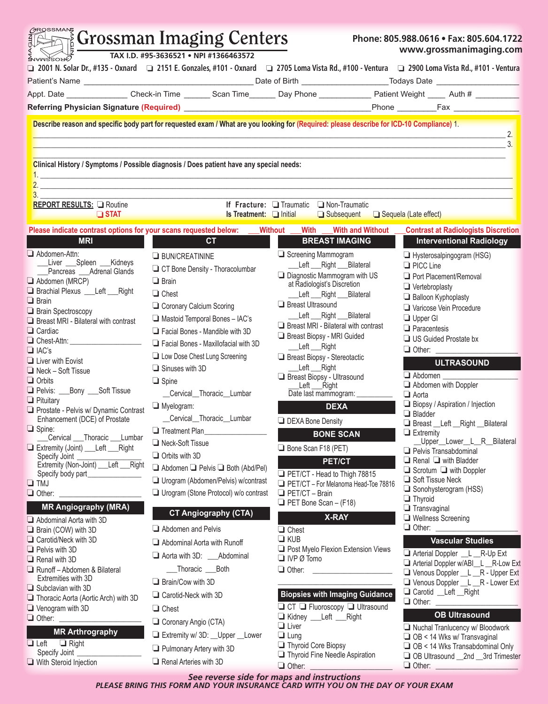| 75955MAIS<br><b>The Strossman Imaging Centers</b><br>TAX I.D. #95-3636521 . NPI #1366463572<br><b>SUAMAROAD</b>      |                                                                                         |                                                                                                                                                  | Phone: 805.988.0616 • Fax: 805.604.1722<br>www.grossmanimaging.com         |  |
|----------------------------------------------------------------------------------------------------------------------|-----------------------------------------------------------------------------------------|--------------------------------------------------------------------------------------------------------------------------------------------------|----------------------------------------------------------------------------|--|
|                                                                                                                      |                                                                                         | Q 2001 N. Solar Dr., #135 - Oxnard Q 2151 E. Gonzales, #101 - Oxnard Q 2705 Loma Vista Rd., #100 - Ventura Q 2900 Loma Vista Rd., #101 - Ventura |                                                                            |  |
|                                                                                                                      |                                                                                         |                                                                                                                                                  |                                                                            |  |
|                                                                                                                      |                                                                                         | Appt. Date _________________Check-in Time ________ Scan Time ________Day Phone ______________Patient Weight _____ Auth # _________               |                                                                            |  |
|                                                                                                                      |                                                                                         |                                                                                                                                                  |                                                                            |  |
|                                                                                                                      |                                                                                         |                                                                                                                                                  |                                                                            |  |
|                                                                                                                      |                                                                                         | Describe reason and specific body part for requested exam / What are you looking for (Required: please describe for ICD-10 Compliance) 1.        | $\mathbf{Z}$ .                                                             |  |
|                                                                                                                      | Clinical History / Symptoms / Possible diagnosis / Does patient have any special needs: |                                                                                                                                                  |                                                                            |  |
| <u>1. In the contract of the contract of the contract of the contract of the contract of the contract of the con</u> |                                                                                         |                                                                                                                                                  |                                                                            |  |
| <b>REPORT RESULTS: Q Routine</b><br>$\Box$ STAT                                                                      | ______                                                                                  | If Fracture: Traumatic Non-Traumatic<br><b>Is Treatment:</b> Initial<br>□ Subsequent □ Sequela (Late effect)                                     |                                                                            |  |
| Please indicate contrast options for your scans requested below: ___Without __                                       |                                                                                         | With With and Without                                                                                                                            | <b>Contrast at Radiologists Discretion</b>                                 |  |
| <b>MRI</b>                                                                                                           | <b>CT</b>                                                                               | <b>BREAST IMAGING</b>                                                                                                                            | <b>Interventional Radiology</b>                                            |  |
| $\Box$ Abdomen-Attn:                                                                                                 |                                                                                         | Screening Mammogram                                                                                                                              |                                                                            |  |
| Liver ___Spleen ___Kidneys                                                                                           | <b>BUN/CREATININE</b>                                                                   | Left Right Bilateral                                                                                                                             | Hysterosalpingogram (HSG)<br>$\Box$ PICC Line                              |  |
| Pancreas ___ Adrenal Glands                                                                                          | CT Bone Density - Thoracolumbar                                                         | Diagnostic Mammogram with US                                                                                                                     | Port Placement/Removal                                                     |  |
| $\Box$ Abdomen (MRCP)<br>Brachial Plexus ___ Left ___ Right                                                          | $\Box$ Brain                                                                            | at Radiologist's Discretion                                                                                                                      | $\Box$ Vertebroplasty                                                      |  |
| $\Box$ Brain                                                                                                         | $\Box$ Chest                                                                            | Left __Right __Bilateral                                                                                                                         | $\Box$ Balloon Kyphoplasty                                                 |  |
| $\Box$ Brain Spectroscopy                                                                                            | Coronary Calcium Scoring                                                                | <b>Breast Ultrasound</b><br>Left Right Bilateral                                                                                                 | Varicose Vein Procedure                                                    |  |
| $\Box$ Breast MRI - Bilateral with contrast                                                                          | Mastoid Temporal Bones - IAC's                                                          | $\Box$ Breast MRI - Bilateral with contrast                                                                                                      | $\Box$ Upper GI                                                            |  |
| $\Box$ Cardiac                                                                                                       | Facial Bones - Mandible with 3D                                                         | Breast Biopsy - MRI Guided                                                                                                                       | $\Box$ Paracentesis                                                        |  |
| O Chest-Attn: 2008                                                                                                   | Facial Bones - Maxillofacial with 3D                                                    | Left Right                                                                                                                                       | $\Box$ US Guided Prostate bx<br>$\Box$ Other:                              |  |
| $\Box$ IAC's<br>$\Box$ Liver with Eovist                                                                             | <b>Low Dose Chest Lung Screening</b>                                                    | Breast Biopsy - Stereotactic                                                                                                                     |                                                                            |  |
| $\Box$ Neck – Soft Tissue                                                                                            | $\Box$ Sinuses with 3D                                                                  | Left ___ Right                                                                                                                                   | <b>ULTRASOUND</b>                                                          |  |
| $\Box$ Orbits                                                                                                        | $\Box$ Spine                                                                            | Breast Biopsy - Ultrasound                                                                                                                       | $\Box$ Abdomen<br>$\Box$ Abdomen with Doppler                              |  |
| Pelvis: ___Bony ___Soft Tissue                                                                                       | Cervical Thoracic Lumbar                                                                | _Left ___Right<br>Date last mammogram: ______                                                                                                    | $\Box$ Aorta                                                               |  |
| $\Box$ Pituitary                                                                                                     | $\Box$ Myelogram:                                                                       | <b>DEXA</b>                                                                                                                                      | Biopsy / Aspiration / Injection                                            |  |
| Prostate - Pelvis w/ Dynamic Contrast<br>Enhancement (DCE) of Prostate                                               | __Cervical__Thoracic__Lumbar                                                            |                                                                                                                                                  | $\Box$ Bladder                                                             |  |
| $\Box$ Spine:                                                                                                        | $\Box$ Treatment Plan                                                                   | <b>DEXA Bone Density</b>                                                                                                                         | Breast __ Left __ Right __ Bilateral                                       |  |
| Cervical ___Thoracic ___Lumbar                                                                                       | Neck-Soft Tissue                                                                        | <b>BONE SCAN</b>                                                                                                                                 | $\Box$ Extremity<br>_Upper__Lower__L__R__Bilateral                         |  |
| Extremity (Joint) __ Left __ Right                                                                                   |                                                                                         | Bone Scan F18 (PET)                                                                                                                              | $\Box$ Pelvis Transabdominal                                               |  |
| Specify Joint<br>Extremity (Non-Joint) __ Left __ Right                                                              | $\Box$ Orbits with 3D                                                                   | PET/CT                                                                                                                                           | $\Box$ Renal $\Box$ with Bladder                                           |  |
| Specify body part_______________                                                                                     | Abdomen D Pelvis D Both (Abd/Pel)                                                       | PET/CT - Head to Thigh 78815                                                                                                                     | $\Box$ Scrotum $\Box$ with Doppler                                         |  |
| $\Box$ TMJ                                                                                                           | Urogram (Abdomen/Pelvis) w/contrast                                                     | PET/CT - For Melanoma Head-Toe 78816                                                                                                             | Soft Tissue Neck<br>Sonohysterogram (HSS)                                  |  |
| $\Box$ Other:                                                                                                        | Urogram (Stone Protocol) w/o contrast                                                   | $\Box$ PET/CT - Brain                                                                                                                            | $\Box$ Thyroid                                                             |  |
| <b>MR Angiography (MRA)</b>                                                                                          | <b>CT Angiography (CTA)</b>                                                             | $\Box$ PET Bone Scan - (F18)                                                                                                                     | $\Box$ Transvaginal                                                        |  |
| Abdominal Aorta with 3D                                                                                              |                                                                                         | <b>X-RAY</b>                                                                                                                                     | $\Box$ Wellness Screening                                                  |  |
| $\Box$ Brain (COW) with 3D                                                                                           | Abdomen and Pelvis                                                                      | $\Box$ Chest                                                                                                                                     | $\Box$ Other: $\_\_$                                                       |  |
| Carotid/Neck with 3D                                                                                                 | Abdominal Aorta with Runoff                                                             | $\Box$ KUB<br>Post Myelo Flexion Extension Views                                                                                                 | <b>Vascular Studies</b>                                                    |  |
| $\Box$ Pelvis with 3D<br>$\Box$ Renal with 3D                                                                        | Aorta with 3D: ____ Abdominal                                                           | $\Box$ IVP $\emptyset$ Tomo                                                                                                                      | Arterial Doppler __L __R-Up Ext                                            |  |
| Runoff - Abdomen & Bilateral                                                                                         | __Thoracic ___Both                                                                      |                                                                                                                                                  | Arterial Doppler w/ABI_L_R-Low Ext<br>Venous Doppler __ L __ R - Upper Ext |  |
| Extremities with 3D                                                                                                  | $\Box$ Brain/Cow with 3D                                                                |                                                                                                                                                  | Venous Doppler __ L __ R - Lower Ext                                       |  |
| $\Box$ Subclavian with 3D                                                                                            | Carotid-Neck with 3D                                                                    | <b>Biopsies with Imaging Guidance</b>                                                                                                            | Carotid _Left __ Right                                                     |  |
| Thoracic Aorta (Aortic Arch) with 3D                                                                                 |                                                                                         | $\Box$ CT $\Box$ Fluoroscopy $\Box$ Ultrasound                                                                                                   | $\Box$ Other:                                                              |  |
| $\Box$ Venogram with 3D<br>$\Box$ Other: $\Box$                                                                      | $\Box$ Chest                                                                            | Kidney __Left __Right                                                                                                                            | <b>OB Ultrasound</b>                                                       |  |
|                                                                                                                      | Coronary Angio (CTA)                                                                    | $\Box$ Liver                                                                                                                                     | Nuchal Tranlucency w/ Bloodwork                                            |  |
| <b>MR Arthrography</b>                                                                                               | Extremity w/ 3D: Upper Lower                                                            | $\Box$ Lung                                                                                                                                      | $\Box$ OB < 14 Wks w/ Transvaginal                                         |  |
| $\Box$ Left $\Box$ Right<br>Specify Joint _                                                                          | $\Box$ Pulmonary Artery with 3D                                                         | Thyroid Core Biopsy<br>Thyroid Fine Needle Aspiration                                                                                            | $\Box$ OB < 14 Wks Transabdominal Only                                     |  |
| $\Box$ With Steroid Injection                                                                                        | Renal Arteries with 3D                                                                  |                                                                                                                                                  | OB Ultrasound __2nd __3rd Trimester<br>$\Box$ Other:                       |  |

 $\sim$   $\sim$   $\sim$   $\sim$   $\sim$   $\sim$ 

*See reverse side for maps and instructions PLEASE BRING THIS FORM AND YOUR INSURANCE CARD WITH YOU ON THE DAY OF YOUR EXAM*